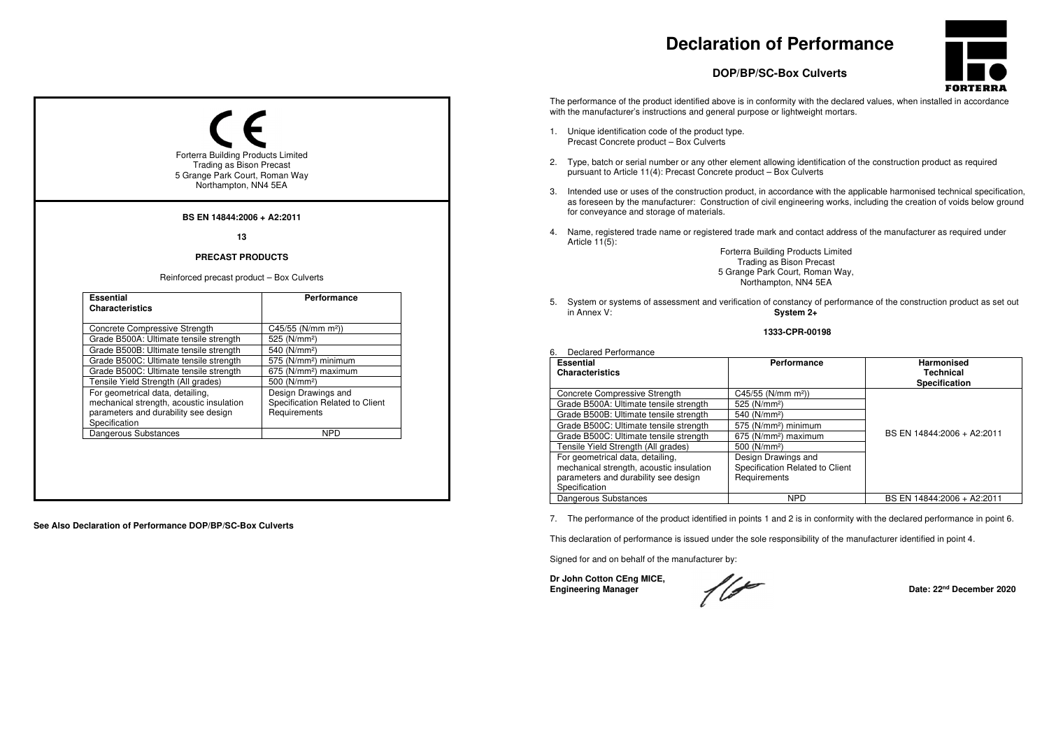# **Declaration of Performance**



## **DOP/BP/SC-Box Culverts**

The performance of the product identified above is in conformity with the declared values, when installed in accordance with the manufacturer's instructions and general purpose or lightweight mortars.

- 1. Unique identification code of the product type. Precast Concrete product – Box Culverts
- 2. Type, batch or serial number or any other element allowing identification of the construction product as required pursuant to Article 11(4): Precast Concrete product – Box Culverts
- 3. Intended use or uses of the construction product, in accordance with the applicable harmonised technical specification, as foreseen by the manufacturer: Construction of civil engineering works, including the creation of voids below ground for conveyance and storage of materials.
- 4. Name, registered trade name or registered trade mark and contact address of the manufacturer as required under Article 11(5):

Forterra Building Products Limited Trading as Bison Precast 5 Grange Park Court, Roman Way, Northampton, NN4 5EA

5. System or systems of assessment and verification of constancy of performance of the construction product as set out in Annex V: System 2+

#### **1333-CPR-00198**

| <b>Essential</b><br><b>Characteristics</b> | Performance                      | <b>Harmonised</b><br>Technical<br><b>Specification</b> |
|--------------------------------------------|----------------------------------|--------------------------------------------------------|
| <b>Concrete Compressive Strength</b>       | C45/55 (N/mm m <sup>2</sup> ))   |                                                        |
| Grade B500A: Ultimate tensile strength     | 525 (N/mm <sup>2</sup> )         |                                                        |
| Grade B500B: Ultimate tensile strength     | 540 (N/mm <sup>2</sup> )         |                                                        |
| Grade B500C: Ultimate tensile strength     | 575 (N/mm <sup>2</sup> ) minimum |                                                        |
| Grade B500C: Ultimate tensile strength     | 675 (N/mm <sup>2</sup> ) maximum | BS EN 14844:2006 + A2:2011                             |
| Tensile Yield Strength (All grades)        | 500 (N/mm <sup>2</sup> )         |                                                        |
| For geometrical data, detailing,           | Design Drawings and              |                                                        |
| mechanical strength, acoustic insulation   | Specification Related to Client  |                                                        |
| parameters and durability see design       | Requirements                     |                                                        |
| Specification                              |                                  |                                                        |
| Dangerous Substances                       | <b>NPD</b>                       | BS EN 14844:2006 + A2:2011                             |

7. The performance of the product identified in points 1 and 2 is in conformity with the declared performance in point 6.

This declaration of performance is issued under the sole responsibility of the manufacturer identified in point 4.

Signed for and on behalf of the manufacturer by:

**Dr John Cotton CEng MICE,** 

6. Declared Performance







**See Also Declaration of Performance DOP/BP/SC-Box Culverts**